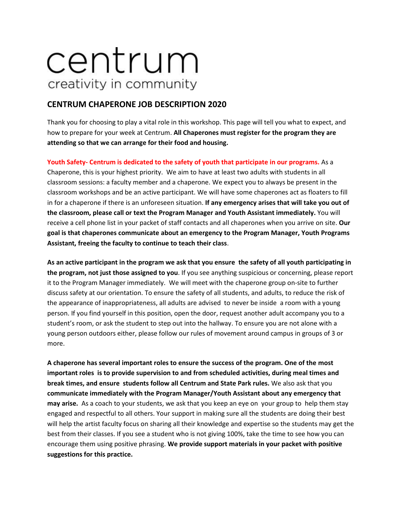# centrum creativity in community

## **CENTRUM CHAPERONE JOB DESCRIPTION 2020**

Thank you for choosing to play a vital role in this workshop. This page will tell you what to expect, and how to prepare for your week at Centrum. All Chaperones must register for the program they are attending so that we can arrange for their food and housing.

Youth Safety- Centrum is dedicated to the safety of youth that participate in our programs. As a Chaperone, this is your highest priority. We aim to have at least two adults with students in all classroom sessions: a faculty member and a chaperone. We expect you to always be present in the classroom workshops and be an active participant. We will have some chaperones act as floaters to fill in for a chaperone if there is an unforeseen situation. If any emergency arises that will take you out of the classroom, please call or text the Program Manager and Youth Assistant immediately. You will receive a cell phone list in your packet of staff contacts and all chaperones when you arrive on site. Our goal is that chaperones communicate about an emergency to the Program Manager, Youth Programs Assistant, freeing the faculty to continue to teach their class.

As an active participant in the program we ask that you ensure the safety of all youth participating in the program, not just those assigned to you. If you see anything suspicious or concerning, please report it to the Program Manager immediately. We will meet with the chaperone group on-site to further discuss safety at our orientation. To ensure the safety of all students, and adults, to reduce the risk of the appearance of inappropriateness, all adults are advised to never be inside a room with a young person. If you find yourself in this position, open the door, request another adult accompany you to a student's room, or ask the student to step out into the hallway. To ensure you are not alone with a young person outdoors either, please follow our rules of movement around campus in groups of 3 or more.

A chaperone has several important roles to ensure the success of the program. One of the most important roles is to provide supervision to and from scheduled activities, during meal times and break times, and ensure students follow all Centrum and State Park rules. We also ask that you communicate immediately with the Program Manager/Youth Assistant about any emergency that may arise. As a coach to your students, we ask that you keep an eye on your group to help them stay engaged and respectful to all others. Your support in making sure all the students are doing their best will help the artist faculty focus on sharing all their knowledge and expertise so the students may get the best from their classes. If you see a student who is not giving 100%, take the time to see how you can encourage them using positive phrasing. We provide support materials in your packet with positive suggestions for this practice.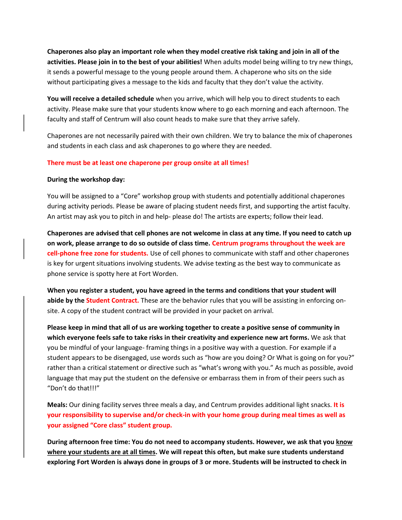Chaperones also play an important role when they model creative risk taking and join in all of the activities. Please join in to the best of your abilities! When adults model being willing to try new things, it sends a powerful message to the young people around them. A chaperone who sits on the side without participating gives a message to the kids and faculty that they don't value the activity.

You will receive a detailed schedule when you arrive, which will help you to direct students to each activity. Please make sure that your students know where to go each morning and each afternoon. The faculty and staff of Centrum will also count heads to make sure that they arrive safely.

Chaperones are not necessarily paired with their own children. We try to balance the mix of chaperones and students in each class and ask chaperones to go where they are needed.

### There must be at least one chaperone per group onsite at all times!

#### During the workshop day:

You will be assigned to a "Core" workshop group with students and potentially additional chaperones during activity periods. Please be aware of placing student needs first, and supporting the artist faculty. An artist may ask you to pitch in and help- please do! The artists are experts; follow their lead.

Chaperones are advised that cell phones are not welcome in class at any time. If you need to catch up on work, please arrange to do so outside of class time. Centrum programs throughout the week are cell-phone free zone for students. Use of cell phones to communicate with staff and other chaperones is key for urgent situations involving students. We advise texting as the best way to communicate as phone service is spotty here at Fort Worden.

When you register a student, you have agreed in the terms and conditions that your student will abide by the Student Contract. These are the behavior rules that you will be assisting in enforcing onsite. A copy of the student contract will be provided in your packet on arrival.

Please keep in mind that all of us are working together to create a positive sense of community in which everyone feels safe to take risks in their creativity and experience new art forms. We ask that you be mindful of your language- framing things in a positive way with a question. For example if a student appears to be disengaged, use words such as "how are you doing? Or What is going on for you?" rather than a critical statement or directive such as "what's wrong with you." As much as possible, avoid language that may put the student on the defensive or embarrass them in from of their peers such as "Don't do that III"

Meals: Our dining facility serves three meals a day, and Centrum provides additional light snacks. It is your responsibility to supervise and/or check-in with your home group during meal times as well as your assigned "Core class" student group.

During afternoon free time: You do not need to accompany students. However, we ask that you know where your students are at all times. We will repeat this often, but make sure students understand exploring Fort Worden is always done in groups of 3 or more. Students will be instructed to check in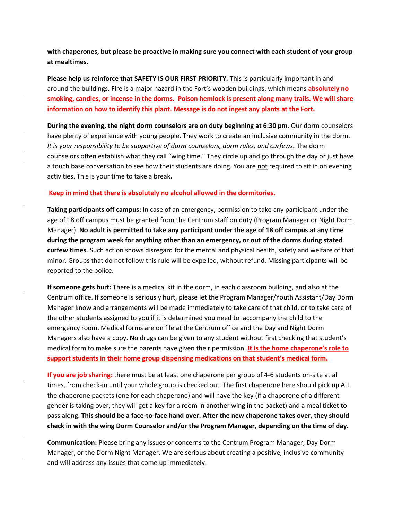with chaperones, but please be proactive in making sure you connect with each student of your group at mealtimes.

Please help us reinforce that SAFETY IS OUR FIRST PRIORITY. This is particularly important in and around the buildings. Fire is a major hazard in the Fort's wooden buildings, which means absolutely no smoking, candles, or incense in the dorms. Poison hemlock is present along many trails. We will share information on how to identify this plant. Message is do not ingest any plants at the Fort.

During the evening, the night dorm counselors are on duty beginning at 6:30 pm. Our dorm counselors have plenty of experience with young people. They work to create an inclusive community in the dorm. It is your responsibility to be supportive of dorm counselors, dorm rules, and curfews. The dorm counselors often establish what they call "wing time." They circle up and go through the day or just have a touch base conversation to see how their students are doing. You are not required to sit in on evening activities. This is your time to take a break.

### Keep in mind that there is absolutely no alcohol allowed in the dormitories.

Taking participants off campus: In case of an emergency, permission to take any participant under the age of 18 off campus must be granted from the Centrum staff on duty (Program Manager or Night Dorm Manager). No adult is permitted to take any participant under the age of 18 off campus at any time during the program week for anything other than an emergency, or out of the dorms during stated curfew times. Such action shows disregard for the mental and physical health, safety and welfare of that minor. Groups that do not follow this rule will be expelled, without refund. Missing participants will be reported to the police.

If someone gets hurt: There is a medical kit in the dorm, in each classroom building, and also at the Centrum office. If someone is seriously hurt, please let the Program Manager/Youth Assistant/Day Dorm Manager know and arrangements will be made immediately to take care of that child, or to take care of the other students assigned to you if it is determined you need to accompany the child to the emergency room. Medical forms are on file at the Centrum office and the Day and Night Dorm Managers also have a copy. No drugs can be given to any student without first checking that student's medical form to make sure the parents have given their permission. It is the home chaperone's role to support students in their home group dispensing medications on that student's medical form.

If you are job sharing: there must be at least one chaperone per group of 4-6 students on-site at all times, from check-in until your whole group is checked out. The first chaperone here should pick up ALL the chaperone packets (one for each chaperone) and will have the key (if a chaperone of a different gender is taking over, they will get a key for a room in another wing in the packet) and a meal ticket to pass along. This should be a face-to-face hand over. After the new chaperone takes over, they should check in with the wing Dorm Counselor and/or the Program Manager, depending on the time of day.

Communication: Please bring any issues or concerns to the Centrum Program Manager, Day Dorm Manager, or the Dorm Night Manager. We are serious about creating a positive, inclusive community and will address any issues that come up immediately.